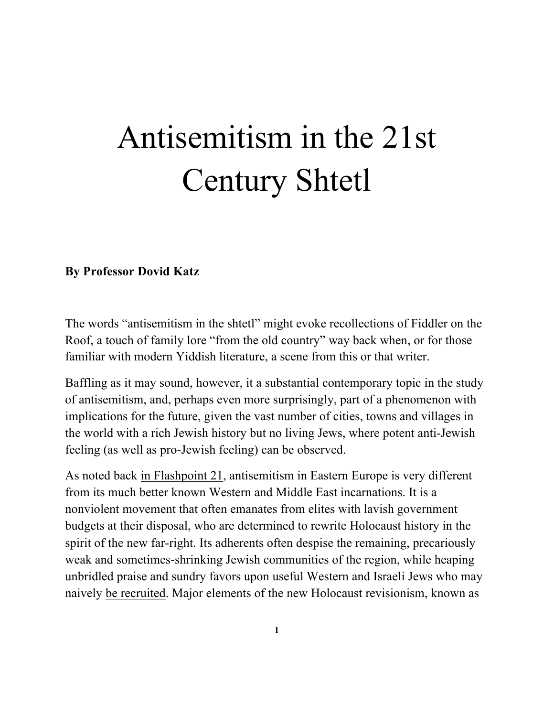## Antisemitism in the 21st Century Shtetl

## **By Professor Dovid Katz**

The words "antisemitism in the shtetl" might evoke recollections of Fiddler on the Roof, a touch of family lore "from the old country" way back when, or for those familiar with modern Yiddish literature, a scene from this or that writer.

Baffling as it may sound, however, it a substantial contemporary topic in the study of antisemitism, and, perhaps even more surprisingly, part of a phenomenon with implications for the future, given the vast number of cities, towns and villages in the world with a rich Jewish history but no living Jews, where potent anti-Jewish feeling (as well as pro-Jewish feeling) can be observed.

As noted back in Flashpoint 21, antisemitism in Eastern Europe is very different from its much better known Western and Middle East incarnations. It is a nonviolent movement that often emanates from elites with lavish government budgets at their disposal, who are determined to rewrite Holocaust history in the spirit of the new far-right. Its adherents often despise the remaining, precariously weak and sometimes-shrinking Jewish communities of the region, while heaping unbridled praise and sundry favors upon useful Western and Israeli Jews who may naively be recruited. Major elements of the new Holocaust revisionism, known as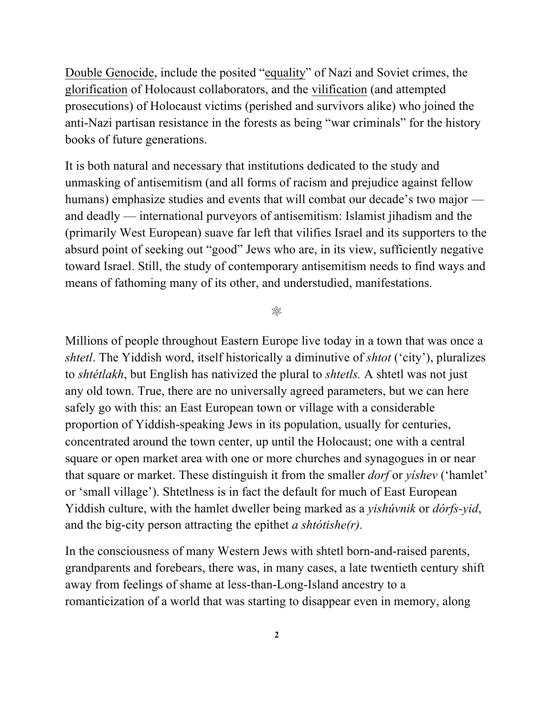Double Genocide, include the posited "equality" of Nazi and Soviet crimes, the glorification of Holocaust collaborators, and the vilification (and attempted prosecutions) of Holocaust victims (perished and survivors alike) who joined the anti-Nazi partisan resistance in the forests as being "war criminals" for the history books of future generations.

It is both natural and necessary that institutions dedicated to the study and unmasking of antisemitism (and all forms of racism and prejudice against fellow humans) emphasize studies and events that will combat our decade's two major and deadly — international purveyors of antisemitism: Islamist jihadism and the (primarily West European) suave far left that vilifies Israel and its supporters to the absurd point of seeking out "good" Jews who are, in its view, sufficiently negative toward Israel. Still, the study of contemporary antisemitism needs to find ways and means of fathoming many of its other, and understudied, manifestations.

98

Millions of people throughout Eastern Europe live today in a town that was once a *shtetl*. The Yiddish word, itself historically a diminutive of *shtot* ('city'), pluralizes to *shtétlakh*, but English has nativized the plural to *shtetls.* A shtetl was not just any old town. True, there are no universally agreed parameters, but we can here safely go with this: an East European town or village with a considerable proportion of Yiddish-speaking Jews in its population, usually for centuries, concentrated around the town center, up until the Holocaust; one with a central square or open market area with one or more churches and synagogues in or near that square or market. These distinguish it from the smaller *dorf* or *yíshev* ('hamlet' or 'small village'). Shtetlness is in fact the default for much of East European Yiddish culture, with the hamlet dweller being marked as a *yishúvnik* or *dórfs-yid*, and the big-city person attracting the epithet *a shtótishe(r).*

In the consciousness of many Western Jews with shtetl born-and-raised parents, grandparents and forebears, there was, in many cases, a late twentieth century shift away from feelings of shame at less-than-Long-Island ancestry to a romanticization of a world that was starting to disappear even in memory, along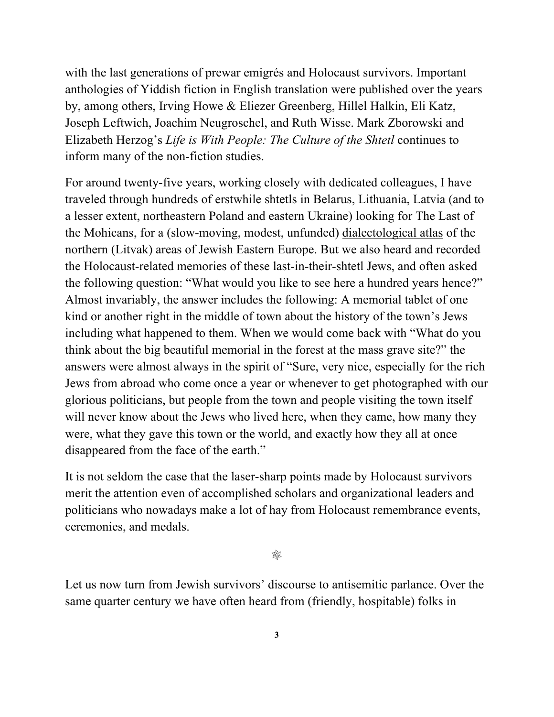with the last generations of prewar emigrés and Holocaust survivors. Important anthologies of Yiddish fiction in English translation were published over the years by, among others, Irving Howe & Eliezer Greenberg, Hillel Halkin, Eli Katz, Joseph Leftwich, Joachim Neugroschel, and Ruth Wisse. Mark Zborowski and Elizabeth Herzog's *Life is With People: The Culture of the Shtetl* continues to inform many of the non-fiction studies.

For around twenty-five years, working closely with dedicated colleagues, I have traveled through hundreds of erstwhile shtetls in Belarus, Lithuania, Latvia (and to a lesser extent, northeastern Poland and eastern Ukraine) looking for The Last of the Mohicans, for a (slow-moving, modest, unfunded) dialectological atlas of the northern (Litvak) areas of Jewish Eastern Europe. But we also heard and recorded the Holocaust-related memories of these last-in-their-shtetl Jews, and often asked the following question: "What would you like to see here a hundred years hence?" Almost invariably, the answer includes the following: A memorial tablet of one kind or another right in the middle of town about the history of the town's Jews including what happened to them. When we would come back with "What do you think about the big beautiful memorial in the forest at the mass grave site?" the answers were almost always in the spirit of "Sure, very nice, especially for the rich Jews from abroad who come once a year or whenever to get photographed with our glorious politicians, but people from the town and people visiting the town itself will never know about the Jews who lived here, when they came, how many they were, what they gave this town or the world, and exactly how they all at once disappeared from the face of the earth."

It is not seldom the case that the laser-sharp points made by Holocaust survivors merit the attention even of accomplished scholars and organizational leaders and politicians who nowadays make a lot of hay from Holocaust remembrance events, ceremonies, and medals.

❊

Let us now turn from Jewish survivors' discourse to antisemitic parlance. Over the same quarter century we have often heard from (friendly, hospitable) folks in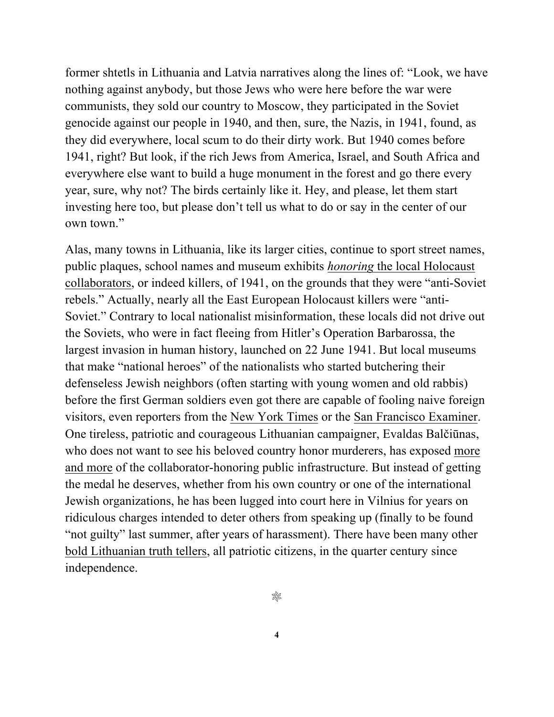former shtetls in Lithuania and Latvia narratives along the lines of: "Look, we have nothing against anybody, but those Jews who were here before the war were communists, they sold our country to Moscow, they participated in the Soviet genocide against our people in 1940, and then, sure, the Nazis, in 1941, found, as they did everywhere, local scum to do their dirty work. But 1940 comes before 1941, right? But look, if the rich Jews from America, Israel, and South Africa and everywhere else want to build a huge monument in the forest and go there every year, sure, why not? The birds certainly like it. Hey, and please, let them start investing here too, but please don't tell us what to do or say in the center of our own town."

Alas, many towns in Lithuania, like its larger cities, continue to sport street names, public plaques, school names and museum exhibits *honoring* the local Holocaust collaborators, or indeed killers, of 1941, on the grounds that they were "anti-Soviet rebels." Actually, nearly all the East European Holocaust killers were "anti-Soviet." Contrary to local nationalist misinformation, these locals did not drive out the Soviets, who were in fact fleeing from Hitler's Operation Barbarossa, the largest invasion in human history, launched on 22 June 1941. But local museums that make "national heroes" of the nationalists who started butchering their defenseless Jewish neighbors (often starting with young women and old rabbis) before the first German soldiers even got there are capable of fooling naive foreign visitors, even reporters from the New York Times or the San Francisco Examiner. One tireless, patriotic and courageous Lithuanian campaigner, Evaldas Balčiūnas, who does not want to see his beloved country honor murderers, has exposed more and more of the collaborator-honoring public infrastructure. But instead of getting the medal he deserves, whether from his own country or one of the international Jewish organizations, he has been lugged into court here in Vilnius for years on ridiculous charges intended to deter others from speaking up (finally to be found "not guilty" last summer, after years of harassment). There have been many other bold Lithuanian truth tellers, all patriotic citizens, in the quarter century since independence.

98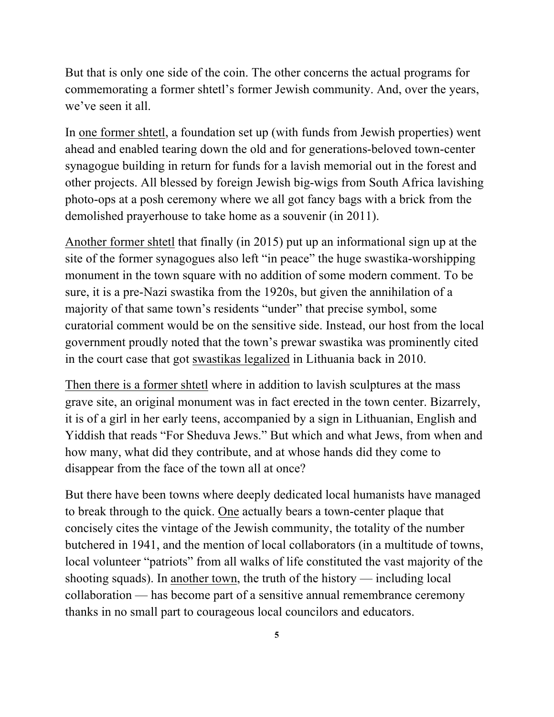But that is only one side of the coin. The other concerns the actual programs for commemorating a former shtetl's former Jewish community. And, over the years, we've seen it all.

In one former shtetl, a foundation set up (with funds from Jewish properties) went ahead and enabled tearing down the old and for generations-beloved town-center synagogue building in return for funds for a lavish memorial out in the forest and other projects. All blessed by foreign Jewish big-wigs from South Africa lavishing photo-ops at a posh ceremony where we all got fancy bags with a brick from the demolished prayerhouse to take home as a souvenir (in 2011).

Another former shtetl that finally (in 2015) put up an informational sign up at the site of the former synagogues also left "in peace" the huge swastika-worshipping monument in the town square with no addition of some modern comment. To be sure, it is a pre-Nazi swastika from the 1920s, but given the annihilation of a majority of that same town's residents "under" that precise symbol, some curatorial comment would be on the sensitive side. Instead, our host from the local government proudly noted that the town's prewar swastika was prominently cited in the court case that got swastikas legalized in Lithuania back in 2010.

Then there is a former shtetl where in addition to lavish sculptures at the mass grave site, an original monument was in fact erected in the town center. Bizarrely, it is of a girl in her early teens, accompanied by a sign in Lithuanian, English and Yiddish that reads "For Sheduva Jews." But which and what Jews, from when and how many, what did they contribute, and at whose hands did they come to disappear from the face of the town all at once?

But there have been towns where deeply dedicated local humanists have managed to break through to the quick. One actually bears a town-center plaque that concisely cites the vintage of the Jewish community, the totality of the number butchered in 1941, and the mention of local collaborators (in a multitude of towns, local volunteer "patriots" from all walks of life constituted the vast majority of the shooting squads). In another town, the truth of the history — including local collaboration — has become part of a sensitive annual remembrance ceremony thanks in no small part to courageous local councilors and educators.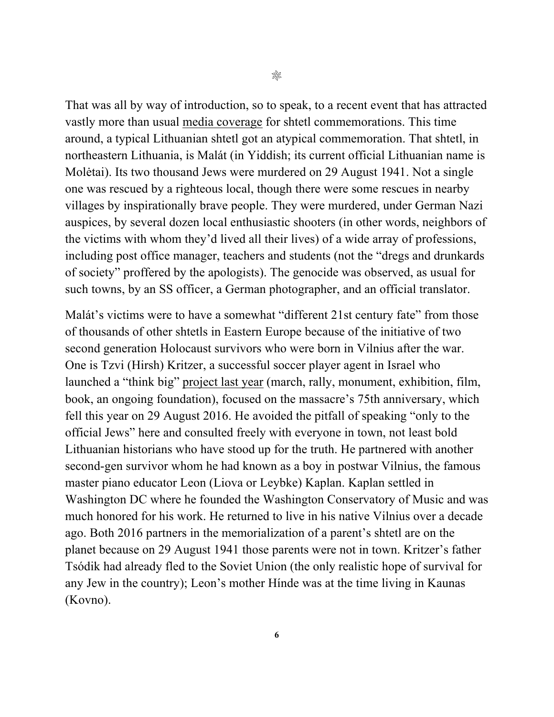That was all by way of introduction, so to speak, to a recent event that has attracted vastly more than usual media coverage for shtetl commemorations. This time around, a typical Lithuanian shtetl got an atypical commemoration. That shtetl, in northeastern Lithuania, is Malát (in Yiddish; its current official Lithuanian name is Molėtai). Its two thousand Jews were murdered on 29 August 1941. Not a single one was rescued by a righteous local, though there were some rescues in nearby villages by inspirationally brave people. They were murdered, under German Nazi auspices, by several dozen local enthusiastic shooters (in other words, neighbors of the victims with whom they'd lived all their lives) of a wide array of professions, including post office manager, teachers and students (not the "dregs and drunkards of society" proffered by the apologists). The genocide was observed, as usual for such towns, by an SS officer, a German photographer, and an official translator.

Malát's victims were to have a somewhat "different 21st century fate" from those of thousands of other shtetls in Eastern Europe because of the initiative of two second generation Holocaust survivors who were born in Vilnius after the war. One is Tzvi (Hirsh) Kritzer, a successful soccer player agent in Israel who launched a "think big" project last year (march, rally, monument, exhibition, film, book, an ongoing foundation), focused on the massacre's 75th anniversary, which fell this year on 29 August 2016. He avoided the pitfall of speaking "only to the official Jews" here and consulted freely with everyone in town, not least bold Lithuanian historians who have stood up for the truth. He partnered with another second-gen survivor whom he had known as a boy in postwar Vilnius, the famous master piano educator Leon (Liova or Leybke) Kaplan. Kaplan settled in Washington DC where he founded the Washington Conservatory of Music and was much honored for his work. He returned to live in his native Vilnius over a decade ago. Both 2016 partners in the memorialization of a parent's shtetl are on the planet because on 29 August 1941 those parents were not in town. Kritzer's father Tsódik had already fled to the Soviet Union (the only realistic hope of survival for any Jew in the country); Leon's mother Hínde was at the time living in Kaunas (Kovno).

**6**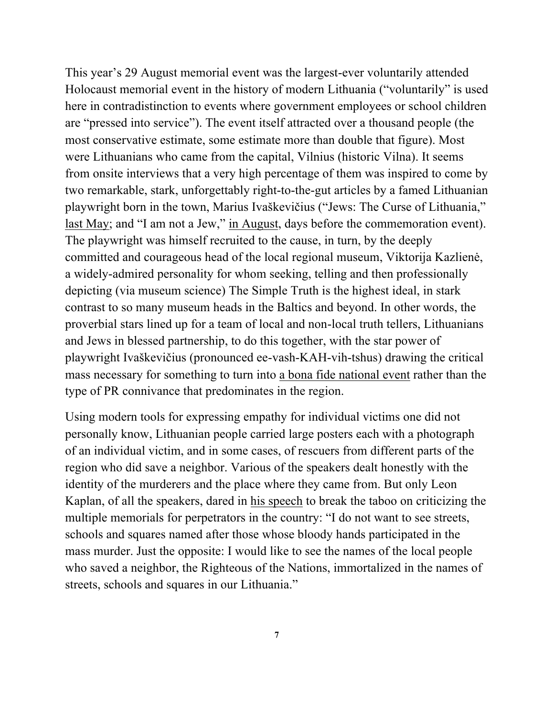This year's 29 August memorial event was the largest-ever voluntarily attended Holocaust memorial event in the history of modern Lithuania ("voluntarily" is used here in contradistinction to events where government employees or school children are "pressed into service"). The event itself attracted over a thousand people (the most conservative estimate, some estimate more than double that figure). Most were Lithuanians who came from the capital, Vilnius (historic Vilna). It seems from onsite interviews that a very high percentage of them was inspired to come by two remarkable, stark, unforgettably right-to-the-gut articles by a famed Lithuanian playwright born in the town, Marius Ivaškevičius ("Jews: The Curse of Lithuania," last May; and "I am not a Jew," in August, days before the commemoration event). The playwright was himself recruited to the cause, in turn, by the deeply committed and courageous head of the local regional museum, Viktorija Kazlienė, a widely-admired personality for whom seeking, telling and then professionally depicting (via museum science) The Simple Truth is the highest ideal, in stark contrast to so many museum heads in the Baltics and beyond. In other words, the proverbial stars lined up for a team of local and non-local truth tellers, Lithuanians and Jews in blessed partnership, to do this together, with the star power of playwright Ivaškevičius (pronounced ee-vash-KAH-vih-tshus) drawing the critical mass necessary for something to turn into a bona fide national event rather than the type of PR connivance that predominates in the region.

Using modern tools for expressing empathy for individual victims one did not personally know, Lithuanian people carried large posters each with a photograph of an individual victim, and in some cases, of rescuers from different parts of the region who did save a neighbor. Various of the speakers dealt honestly with the identity of the murderers and the place where they came from. But only Leon Kaplan, of all the speakers, dared in his speech to break the taboo on criticizing the multiple memorials for perpetrators in the country: "I do not want to see streets, schools and squares named after those whose bloody hands participated in the mass murder. Just the opposite: I would like to see the names of the local people who saved a neighbor, the Righteous of the Nations, immortalized in the names of streets, schools and squares in our Lithuania."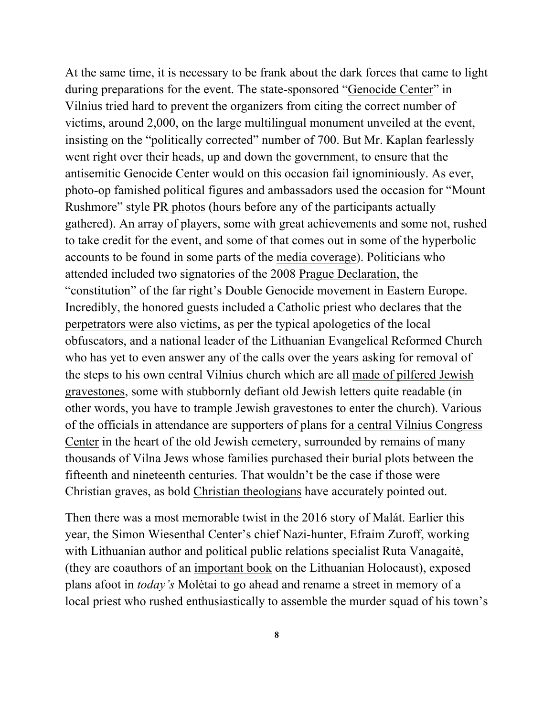At the same time, it is necessary to be frank about the dark forces that came to light during preparations for the event. The state-sponsored "Genocide Center" in Vilnius tried hard to prevent the organizers from citing the correct number of victims, around 2,000, on the large multilingual monument unveiled at the event, insisting on the "politically corrected" number of 700. But Mr. Kaplan fearlessly went right over their heads, up and down the government, to ensure that the antisemitic Genocide Center would on this occasion fail ignominiously. As ever, photo-op famished political figures and ambassadors used the occasion for "Mount Rushmore" style PR photos (hours before any of the participants actually gathered). An array of players, some with great achievements and some not, rushed to take credit for the event, and some of that comes out in some of the hyperbolic accounts to be found in some parts of the media coverage). Politicians who attended included two signatories of the 2008 Prague Declaration, the "constitution" of the far right's Double Genocide movement in Eastern Europe. Incredibly, the honored guests included a Catholic priest who declares that the perpetrators were also victims, as per the typical apologetics of the local obfuscators, and a national leader of the Lithuanian Evangelical Reformed Church who has yet to even answer any of the calls over the years asking for removal of the steps to his own central Vilnius church which are all made of pilfered Jewish gravestones, some with stubbornly defiant old Jewish letters quite readable (in other words, you have to trample Jewish gravestones to enter the church). Various of the officials in attendance are supporters of plans for a central Vilnius Congress Center in the heart of the old Jewish cemetery, surrounded by remains of many thousands of Vilna Jews whose families purchased their burial plots between the fifteenth and nineteenth centuries. That wouldn't be the case if those were Christian graves, as bold Christian theologians have accurately pointed out.

Then there was a most memorable twist in the 2016 story of Malát. Earlier this year, the Simon Wiesenthal Center's chief Nazi-hunter, Efraim Zuroff, working with Lithuanian author and political public relations specialist Ruta Vanagaitė, (they are coauthors of an important book on the Lithuanian Holocaust), exposed plans afoot in *today's* Molėtai to go ahead and rename a street in memory of a local priest who rushed enthusiastically to assemble the murder squad of his town's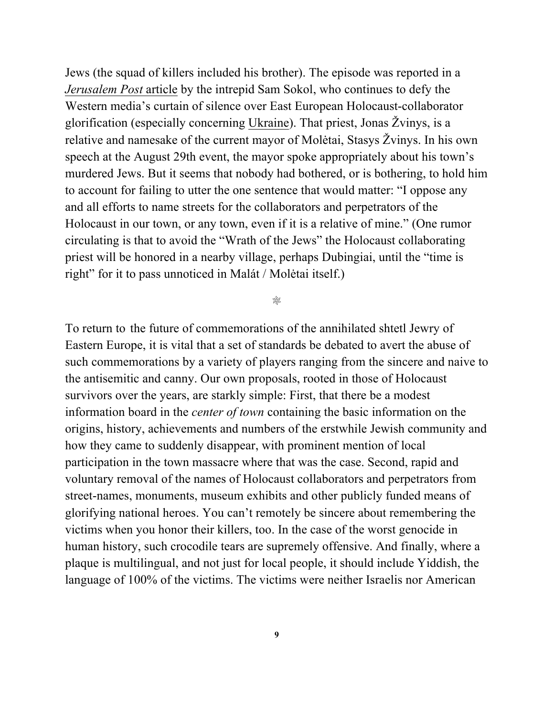Jews (the squad of killers included his brother). The episode was reported in a *Jerusalem Post* article by the intrepid Sam Sokol, who continues to defy the Western media's curtain of silence over East European Holocaust-collaborator glorification (especially concerning Ukraine). That priest, Jonas Žvinys, is a relative and namesake of the current mayor of Molėtai, Stasys Žvinys. In his own speech at the August 29th event, the mayor spoke appropriately about his town's murdered Jews. But it seems that nobody had bothered, or is bothering, to hold him to account for failing to utter the one sentence that would matter: "I oppose any and all efforts to name streets for the collaborators and perpetrators of the Holocaust in our town, or any town, even if it is a relative of mine." (One rumor circulating is that to avoid the "Wrath of the Jews" the Holocaust collaborating priest will be honored in a nearby village, perhaps Dubingiai, until the "time is right" for it to pass unnoticed in Malát / Molėtai itself.)

❊

To return to the future of commemorations of the annihilated shtetl Jewry of Eastern Europe, it is vital that a set of standards be debated to avert the abuse of such commemorations by a variety of players ranging from the sincere and naive to the antisemitic and canny. Our own proposals, rooted in those of Holocaust survivors over the years, are starkly simple: First, that there be a modest information board in the *center of town* containing the basic information on the origins, history, achievements and numbers of the erstwhile Jewish community and how they came to suddenly disappear, with prominent mention of local participation in the town massacre where that was the case. Second, rapid and voluntary removal of the names of Holocaust collaborators and perpetrators from street-names, monuments, museum exhibits and other publicly funded means of glorifying national heroes. You can't remotely be sincere about remembering the victims when you honor their killers, too. In the case of the worst genocide in human history, such crocodile tears are supremely offensive. And finally, where a plaque is multilingual, and not just for local people, it should include Yiddish, the language of 100% of the victims. The victims were neither Israelis nor American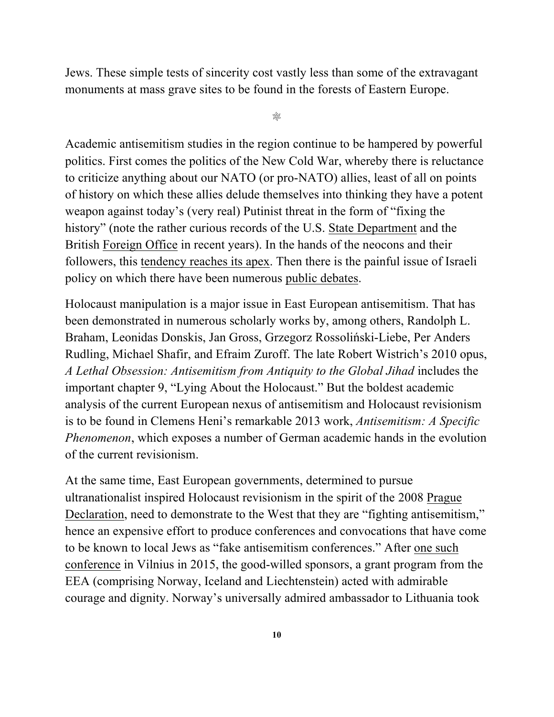Jews. These simple tests of sincerity cost vastly less than some of the extravagant monuments at mass grave sites to be found in the forests of Eastern Europe.

❊

Academic antisemitism studies in the region continue to be hampered by powerful politics. First comes the politics of the New Cold War, whereby there is reluctance to criticize anything about our NATO (or pro-NATO) allies, least of all on points of history on which these allies delude themselves into thinking they have a potent weapon against today's (very real) Putinist threat in the form of "fixing the history" (note the rather curious records of the U.S. State Department and the British Foreign Office in recent years). In the hands of the neocons and their followers, this tendency reaches its apex. Then there is the painful issue of Israeli policy on which there have been numerous public debates.

Holocaust manipulation is a major issue in East European antisemitism. That has been demonstrated in numerous scholarly works by, among others, Randolph L. Braham, Leonidas Donskis, Jan Gross, Grzegorz Rossoliński-Liebe, Per Anders Rudling, Michael Shafir, and Efraim Zuroff. The late Robert Wistrich's 2010 opus, *A Lethal Obsession: Antisemitism from Antiquity to the Global Jihad* includes the important chapter 9, "Lying About the Holocaust." But the boldest academic analysis of the current European nexus of antisemitism and Holocaust revisionism is to be found in Clemens Heni's remarkable 2013 work, *Antisemitism: A Specific Phenomenon*, which exposes a number of German academic hands in the evolution of the current revisionism.

At the same time, East European governments, determined to pursue ultranationalist inspired Holocaust revisionism in the spirit of the 2008 Prague Declaration, need to demonstrate to the West that they are "fighting antisemitism," hence an expensive effort to produce conferences and convocations that have come to be known to local Jews as "fake antisemitism conferences." After one such conference in Vilnius in 2015, the good-willed sponsors, a grant program from the EEA (comprising Norway, Iceland and Liechtenstein) acted with admirable courage and dignity. Norway's universally admired ambassador to Lithuania took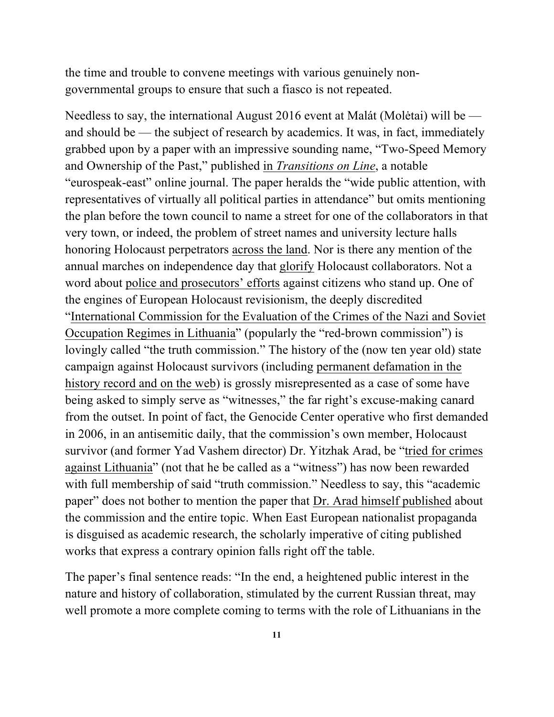the time and trouble to convene meetings with various genuinely nongovernmental groups to ensure that such a fiasco is not repeated.

Needless to say, the international August 2016 event at Malát (Molėtai) will be and should be — the subject of research by academics. It was, in fact, immediately grabbed upon by a paper with an impressive sounding name, "Two-Speed Memory and Ownership of the Past," published in *Transitions on Line*, a notable "eurospeak-east" online journal. The paper heralds the "wide public attention, with representatives of virtually all political parties in attendance" but omits mentioning the plan before the town council to name a street for one of the collaborators in that very town, or indeed, the problem of street names and university lecture halls honoring Holocaust perpetrators across the land. Nor is there any mention of the annual marches on independence day that glorify Holocaust collaborators. Not a word about police and prosecutors' efforts against citizens who stand up. One of the engines of European Holocaust revisionism, the deeply discredited "International Commission for the Evaluation of the Crimes of the Nazi and Soviet Occupation Regimes in Lithuania" (popularly the "red-brown commission") is lovingly called "the truth commission." The history of the (now ten year old) state campaign against Holocaust survivors (including permanent defamation in the history record and on the web) is grossly misrepresented as a case of some have being asked to simply serve as "witnesses," the far right's excuse-making canard from the outset. In point of fact, the Genocide Center operative who first demanded in 2006, in an antisemitic daily, that the commission's own member, Holocaust survivor (and former Yad Vashem director) Dr. Yitzhak Arad, be "tried for crimes against Lithuania" (not that he be called as a "witness") has now been rewarded with full membership of said "truth commission." Needless to say, this "academic paper" does not bother to mention the paper that Dr. Arad himself published about the commission and the entire topic. When East European nationalist propaganda is disguised as academic research, the scholarly imperative of citing published works that express a contrary opinion falls right off the table.

The paper's final sentence reads: "In the end, a heightened public interest in the nature and history of collaboration, stimulated by the current Russian threat, may well promote a more complete coming to terms with the role of Lithuanians in the